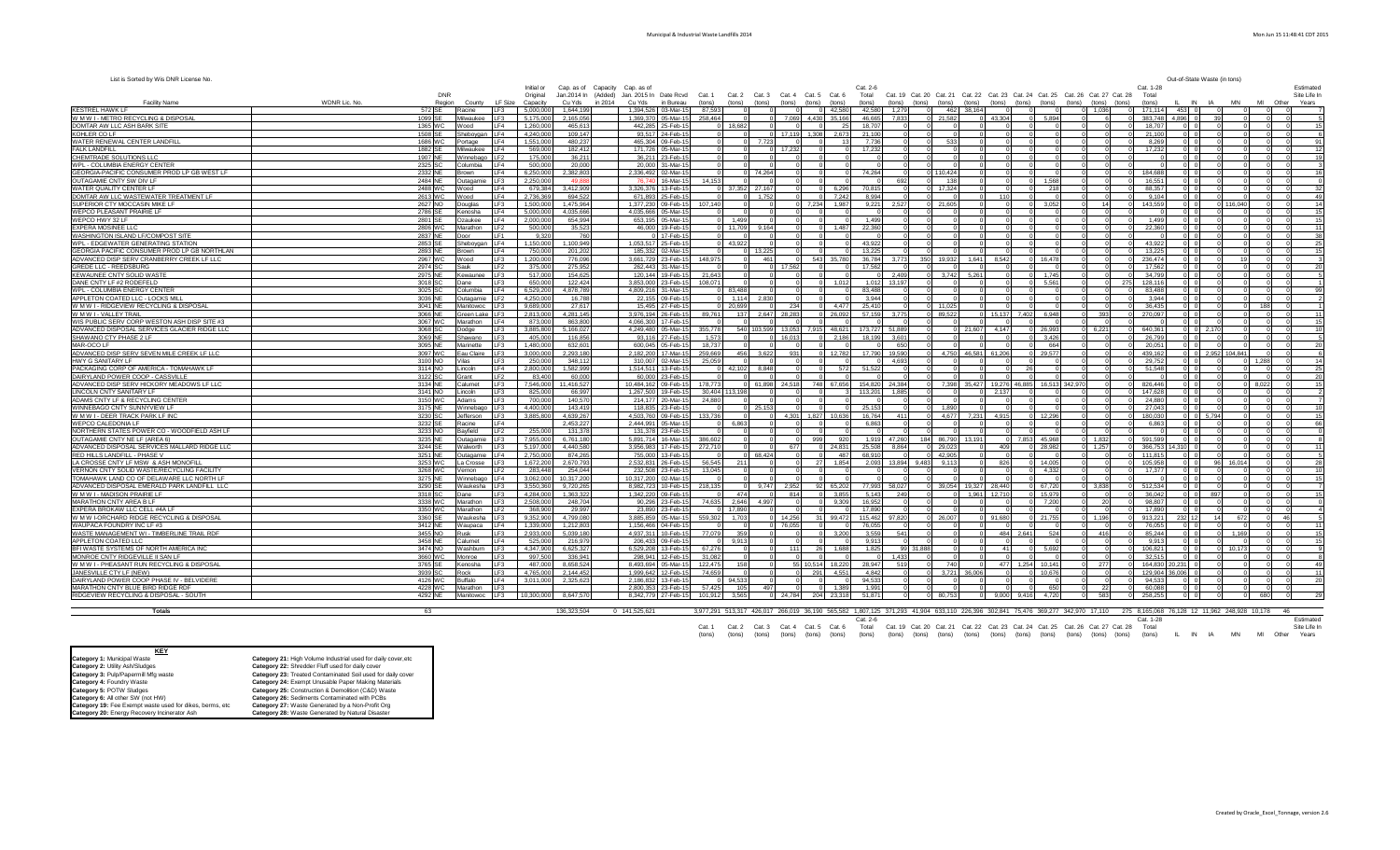| List is Sorted by Wis DNR License No.                                              |                         |                                        |                        |                                |                                                                                                                                                                |                   |                                                                                                                            |               |                      |                                                  |                        |                                             | Out-of-State Waste (in tons)           |                                      |    |
|------------------------------------------------------------------------------------|-------------------------|----------------------------------------|------------------------|--------------------------------|----------------------------------------------------------------------------------------------------------------------------------------------------------------|-------------------|----------------------------------------------------------------------------------------------------------------------------|---------------|----------------------|--------------------------------------------------|------------------------|---------------------------------------------|----------------------------------------|--------------------------------------|----|
|                                                                                    |                         |                                        | Initial or             | Cap. as of Capacity Cap. as of |                                                                                                                                                                |                   | $Cat. 2-f$                                                                                                                 |               |                      |                                                  |                        | Cat 1-28                                    |                                        | Estimated                            |    |
| <b>Facility Name</b>                                                               | WDNR Lic. No.<br>Region | LF Size<br>County                      | Original<br>Capacity   | Cu Yds<br>in 2014              | Jan.2014 In (Added) Jan. 2015 In Date Rcvd Cat. 1 Cat. 2 Cat. 3 Cat. 4 Cat. 5 Cat. 6<br>Cu Yds in Bureau<br>(tons)<br>(tons) (tons)<br>(tons) (tons)<br>(tons) |                   | Cat. 19 Cat. 20 Cat. 21 Cat. 22 Cat. 23 Cat. 24 Cat. 25 Cat. 26 Cat. 27 Cat. 28<br>Total<br>(tons)<br>(tons) (tons) (tons) |               |                      | (tons) (tons) (tons) (tons) (tons) (tons) (tons) |                        | (tons)                                      | <b>MN</b><br><b>IN</b><br>- IA         | Site Life In<br>MI<br>Other<br>Years |    |
| KESTREL HAWK LF                                                                    |                         | Racine<br>LF3                          | 5.000.000              | 1.644.199                      | 1.394.526 03-Mar-15<br>87.593                                                                                                                                  | 42.580            | 42,580<br>1.279<br>462                                                                                                     | 38.164        |                      |                                                  | 0.1.036                | 171.114<br>453                              |                                        |                                      |    |
| W M W I - METRO RECYCLING & DISPOSAL                                               | 572 SE<br>1099 SE       | Milwaukee LF3                          | 5.175.000              | 2.165.056                      | 1.369.370 05-Mar-15 258.464<br>7.069 4.430 35.166                                                                                                              |                   | 7,833<br>46.665<br>0 21.582                                                                                                |               | 43.304               | 0 5.894                                          |                        | 383,748<br>4.896                            | 39 <sup>1</sup>                        |                                      |    |
| DOMTAR AW LLC ASH BARK SITE                                                        | 1365 WC                 | Wood<br>LF4                            | 1,260,000              | 465.613                        | 442.285 25-Feb-15<br>18,682                                                                                                                                    | 25                | 18.707                                                                                                                     |               |                      |                                                  |                        | 18,707<br>$01$ 0                            | n                                      | $\sqrt{2}$                           |    |
| KOHLER CO LF                                                                       | 1508 SE                 | Sheboygan LF4                          | 4.240.000              | 109.147                        | 93.517 24-Feb-15<br>0 17.119 1.308 2.673<br>$\sim$                                                                                                             |                   | 21,100                                                                                                                     |               |                      | $\Omega$                                         |                        | 21,100<br>$\Omega$                          | $\cap$                                 | ΩL                                   |    |
| WATER RENEWAL CENTER LANDFILL                                                      | 1686 WC                 | LF4<br>Portage                         | 1,551,000              | 480,237                        | 465,304 09-Feb-15<br>7.723                                                                                                                                     |                   | 7.736<br>$\Omega$<br>533                                                                                                   |               |                      |                                                  |                        | 8,26                                        |                                        |                                      |    |
| <b>FALK LANDFILL</b>                                                               | 1882 SE                 | Milwaukee<br>LF4                       | 569,000                | 182.412                        | 171,726 05-Mar-15<br>17.232                                                                                                                                    |                   | 17.232                                                                                                                     |               |                      |                                                  |                        | 17.23                                       |                                        |                                      |    |
| CHEMTRADE SOLUTIONS LLC                                                            | 1907 NE                 | Winnebago<br>LF <sub>2</sub>           | 175,000                | 36,211                         | 36,211 23-Feb-15                                                                                                                                               |                   |                                                                                                                            |               |                      |                                                  |                        |                                             |                                        |                                      |    |
| WPL - COLUMBIA ENERGY CENTER                                                       | 2325 SC                 | Columbia<br>LF4                        | 500,000                | 20,000                         | 20,000 31-Mar-15                                                                                                                                               |                   |                                                                                                                            |               |                      |                                                  |                        | $\Omega$                                    |                                        |                                      |    |
| GEORGIA-PACIFIC CONSUMER PROD LP GB WEST LF                                        | 2332 NE                 | LF4<br>Brown                           | 6.250.000              | 2.382.803                      | 2.336.492 02-Mar-15<br>0 74.264                                                                                                                                |                   | 74.264<br>0 110.424                                                                                                        |               |                      |                                                  |                        | 184.688<br>0 <sub>0</sub>                   |                                        |                                      |    |
| OUTAGAMIE CNTY SW DIV LF                                                           | 2484 NE                 | LF3<br>Outagamie                       | 2,250,000              | 49,888                         | 76.740 16-Mar-15<br>14.153                                                                                                                                     |                   | 692<br>138                                                                                                                 |               |                      | 1.568                                            |                        | 16,551                                      |                                        |                                      |    |
| WATER QUALITY CENTER LF                                                            | 2488 WC                 | LF4<br>Wood                            | 679.384                | 3.412.909                      | 3,326,376 13-Feb-15<br>37.352 27.167<br>$\Omega$                                                                                                               | 6,296             | 70,815<br>0 17.324                                                                                                         |               |                      | 218<br>$\Omega$                                  |                        | 88,357                                      |                                        |                                      |    |
| DOMTAR AW LLC WASTEWATER TREATMENT LF                                              | 2613 WC                 | LF4<br>Wood                            | 2,736,369              | 694,522                        | 671.893 25-Feb-15<br>1.752<br>$\overline{0}$                                                                                                                   | 7.242             | 8.994                                                                                                                      |               | 110                  |                                                  |                        | 9.104<br>$\overline{\mathbf{0}}$            |                                        |                                      | 49 |
| SUPERIOR CTY MOCCASIN MIKE LF                                                      | 2627 NO                 | LF3<br>Douglas                         | 1,500,000              | 1.475.964                      | 1.377.230 09-Feb-15<br>107.140<br>0 7.234 1.987<br>4.035.666 05-Mar-15                                                                                         |                   | 9.221<br>2.527<br>0 21,605                                                                                                 |               |                      | $0 \quad 3.052$                                  | 14                     | 143,559<br>ol o                             | 0 116,040                              |                                      | 14 |
| WEPCO PLEASANT PRAIRIE LF                                                          | 2786 SE<br>2801 SE      | IF4<br>Kenosha<br>LF4                  | 5.000.000<br>2,000,000 | 4.035.666<br>654.994           | 653.195 05-Mar-15<br>1.499                                                                                                                                     |                   | 1.499                                                                                                                      |               |                      | $\cap$                                           |                        | 1.499<br>n In                               | $\cap$                                 |                                      |    |
| WEPCO HWY 32 LF<br>EXPERA MOSINEE LLO                                              | 2806 WC                 | Ozaukee<br>Marathon<br>LF <sub>2</sub> | 500,000                | 35,523                         | 46,000 19-Feb-15<br>11.709<br>9.164                                                                                                                            | 1.487             | 22.360                                                                                                                     |               |                      |                                                  |                        | 22,36                                       |                                        |                                      |    |
| WASHINGTON ISLAND LF/COMPOST SITE                                                  | 2837 NE                 | Door<br>IF1                            | 9,320                  | 760                            | 0 17-Feb-15                                                                                                                                                    |                   |                                                                                                                            |               |                      |                                                  |                        |                                             |                                        |                                      |    |
| WPL - EDGEWATER GENERATING STATION                                                 | 2853 SE                 | Sheboygan LF4                          | 1,150,000              | 1.100.949                      | 1.053.517 25-Feb-15<br>43.922                                                                                                                                  |                   | 43.922                                                                                                                     |               |                      |                                                  |                        | 43.92                                       |                                        |                                      |    |
| GEORGIA PACIFIC CONSUMER PROD LP GB NORTHLAN                                       | 2893 NE                 | Brown<br>LF4                           | 750,000                | 201.202                        | 185.332 02-Mar-15<br>0 13.225                                                                                                                                  |                   | 13.225                                                                                                                     |               |                      |                                                  |                        | 13.22                                       |                                        |                                      |    |
| ADVANCED DISP SERV CRANBERRY CREEK LF LLC                                          | 2967 WC                 | LF3<br>Wood                            | 1.200.000              | 776.096                        | 3.661.729 23-Feb-15<br>148.975<br>461<br>543 35.780                                                                                                            |                   | 36,784<br>3.773<br>350 19,932                                                                                              | 1.641         | 8.542                | 0 16.478                                         |                        | 236.474<br>0 <sub>0</sub>                   | 19<br>$\Omega$                         |                                      |    |
| <b>GREDE LLC - REEDSBURG</b>                                                       | 2974 SC                 | Sauk<br>LF2                            | 375,000                | 275.952                        | 262.443 31-Mar-15<br>17.562                                                                                                                                    |                   | 17.562                                                                                                                     |               |                      |                                                  |                        | 17.562                                      |                                        |                                      |    |
| KEWAUNEE CNTY SOLID WASTE                                                          | 2975 NE                 | LF3<br>Kewaunee                        | 517.000                | 154.625                        | 120.144 19-Feb-15<br>21.643                                                                                                                                    |                   | 2.409<br>3.742<br>$\overline{0}$                                                                                           | 5.261         |                      | 1.745<br>$\Omega$                                |                        | 34.79                                       |                                        |                                      |    |
| DANE CNTY LF #2 RODEFELD                                                           | 3018 SC                 | Dane<br>LF3                            | 650,000                | 122.424                        | 3.853.000 23-Feb-15<br>108.071<br>$\Omega$<br>$\Omega$<br>$\Omega$                                                                                             | 1.012             | 13.197<br>1,012<br>$\Omega$                                                                                                |               |                      | $0\quad 5,561$                                   | 275                    | 128,11<br>$0$ 0                             | $\Omega$                               | - 01                                 |    |
| WPL - COLUMBIA ENERGY CENTER                                                       | 3025 SC                 | Columbia<br>LF4                        | 6.529.200              | 4.878.789                      | 4.809.216 31-Mar-15<br>83.488                                                                                                                                  |                   | 83.488                                                                                                                     |               |                      | $\Omega$                                         |                        | 83,488<br>$\Omega$                          | $\Omega$                               |                                      |    |
| APPLETON COATED LLC - LOCKS MILL                                                   | 3036 NE                 | Outagamie LF2                          | 4.250.000              | 16,788                         | 22,155 09-Feb-15<br>1.114 2.830<br>$\Omega$                                                                                                                    |                   | 3.944<br>$\Omega$                                                                                                          |               |                      | $\Omega$                                         | $\Omega$               | 3.944<br>0 <sub>0</sub>                     | $\cap$                                 | $\Omega$                             |    |
| W M W I - RIDGEVIEW RECYCLING & DISPOSAL                                           | 3041 NE                 | LF3<br>Manitowoc                       | 9.689.000              | 27.617                         | 15,495 27-Feb-15<br>234<br>$\Omega$<br>20.699                                                                                                                  | 4.477             | 25,410<br>$0$ 11,025                                                                                                       |               |                      | $\Omega$                                         |                        | 36.43                                       |                                        | 188                                  |    |
| W M W I - VALLEY TRAIL                                                             | 3066 NE                 | Green Lake LF3                         | 2.813.000              | 4.281.145                      | 3,976,194 26-Feb-15<br>137 2,647 28,283<br>89,761                                                                                                              | 26,092            | 57,159<br>3,775<br>89.522                                                                                                  |               | 15,137 7,402         | 6,948                                            | 393                    | 270,09                                      |                                        |                                      |    |
| WIS PUBLIC SERV CORP WESTON ASH DISP SITE #3                                       | 3067 WC                 | Marathon<br>LF4                        | 873,000                | 863,800                        | 4.066.300 17-Feb-15<br>$\Omega$                                                                                                                                |                   |                                                                                                                            |               |                      |                                                  |                        |                                             |                                        |                                      |    |
| ADVANCED DISPOSAL SERVICES GLACIER RIDGE LLC                                       | 3068 SC                 | Dodge<br>LF3                           | 3.885.800              | 5.166.027                      | 4.249.480 05-Mar-15<br>13.053<br>7.915 48.621<br>355,778<br>540 103 599                                                                                        |                   | 173.727 51.889                                                                                                             | 21.607        | 4.147                | $0 \quad 26.993$                                 | $0 \ 6.221$            | 640.361                                     | $0$ 0<br>2.170                         |                                      |    |
| SHAWANO CTY PHASE 2 LF                                                             | 3069 NE                 | LF3<br>Shawano                         | 405,000                | 116,856                        | 93,116 27-Feb-15<br>1,573<br>16.013                                                                                                                            | 2.186             | 18,199<br>3.601                                                                                                            |               |                      | 3,426                                            |                        | 26,799                                      |                                        |                                      |    |
| MAR-OCO LF                                                                         | 3095 NE                 | Marinette<br>LF3                       | 1.480.000              | 632.601                        | 18,737<br>600.045 05-Feb-15                                                                                                                                    |                   | 650<br>19,590                                                                                                              |               | 61.206               | 664<br>$\Omega$<br>$\Omega$                      |                        | 20.051<br>439.16                            |                                        |                                      |    |
| ADVANCED DISP SERV SEVEN MILE CREEK LF LLC<br>HWY G SANITARY LF                    | 3097 WC<br>3100 NO      | LF3<br>Eau Claire<br>Vilas<br>LF3      | 3,000,000<br>250,000   | 2,293,180<br>348.112           | 2,182,200 17-Mar-15<br>259,669<br>456 3,622<br>931<br>$0$ 12,782<br>310.007 02-Mar-15<br>25.059<br>$\Omega$                                                    |                   | 17,790<br>4,750<br>4.693                                                                                                   | 46,581        |                      | 29,577<br>$\Omega$                               |                        | 29.75<br>0 <sup>1</sup>                     | 2,952 104,841<br>$0$ 1.288<br>$\Omega$ |                                      |    |
| PACKAGING CORP OF AMERICA - TOMAHAWK LF                                            | 3114 NO                 | LF4<br>Lincoln                         | 2.800.000              | 1.582.999                      | 1.514.511 13-Feb-15<br>42.102 8.848                                                                                                                            | 572               | 51522                                                                                                                      |               |                      | 26                                               |                        | 51.548                                      |                                        |                                      |    |
| DAIRYLAND POWER COOP - CASSVILLE                                                   | 3122 SC                 | LF2<br>Grant                           | 83,400                 | 60,000                         | 60,000 23-Feb-15                                                                                                                                               |                   |                                                                                                                            |               |                      |                                                  |                        |                                             | $\Omega$                               | $\Omega$                             |    |
| ADVANCED DISP SERV HICKORY MEADOWS LF LLC                                          | 3134 NE                 | LF3<br>Calumet                         | 7,546,000              | 11.416.527                     | 748 67,656<br>10,484,162 09-Feb-15<br>0 61.898<br>24.518<br>178,773                                                                                            |                   | 154,820 24,384<br>7,398                                                                                                    |               | 35,427 19,276 46,885 | 16,513 342,970                                   |                        | 826,446                                     | 0 8,022                                |                                      |    |
| LINCOLN CNTY SANITARY LF                                                           | 3141 NO                 | LF3<br>Lincoln                         | 825.000                | 66,997                         | 1.267.500 19-Feb-15<br>30.404 113.198                                                                                                                          |                   | 113,201<br>1885                                                                                                            |               | 2.137                |                                                  |                        | 147.62                                      | $\Omega$                               |                                      |    |
| ADAMS CNTY LF & RECYCLING CENTER                                                   | 3150 WC                 | Adams<br>LF3                           | 700,000                | 140,570                        | 214,177 20-Mar-15<br>24,880                                                                                                                                    |                   |                                                                                                                            |               |                      |                                                  |                        | 24.88                                       |                                        |                                      |    |
| WINNEBAGO CNTY SUNNYVIEW LF                                                        | 3175 NE                 | Winnebago LF3                          | 4.400.000              | 143.419                        | 118,835 23-Feb-15<br>0 25.153<br>$\Omega$<br>$\Omega$                                                                                                          |                   | 1.890<br>25.153<br>$\Omega$                                                                                                |               |                      |                                                  |                        | 27.043                                      | $\Omega$                               |                                      |    |
| W M W I - DEER TRACK PARK LF INC                                                   | 3230 SC                 | Jefferson<br>LF3                       | 3.885.800              | 4,639,267                      | 4.503.760 09-Feb-15<br>133.736<br>4.301<br>1.827 10.636                                                                                                        |                   | 16.764<br>411<br>4.677                                                                                                     | 7.231         | 4.915                | $0$ 12.296                                       |                        | 180.03                                      | 0 <sub>0</sub><br>5.794                |                                      |    |
| WEPCO CALEDONIA LF                                                                 | 3232 SE                 | LF4<br>Racine                          |                        | 2.453.227                      | 2.444.991 05-Mar-15<br>6.863                                                                                                                                   |                   | 6.863                                                                                                                      |               |                      |                                                  |                        | 6.863                                       |                                        |                                      |    |
| NORTHERN STATES POWER CO - WOODFIELD ASH LF                                        | 3233 NO                 | Bayfield<br>LF2                        | 255,000                | 131.378                        | 131,378 23-Feb-15                                                                                                                                              |                   |                                                                                                                            |               |                      |                                                  |                        |                                             |                                        |                                      |    |
| OUTAGAMIE CNTY NE LF (AREA 6)                                                      | 3235 NE                 | LF3<br>Outagamie                       | 7,955,000              | 6.761.180                      | 5.891,714 16-Mar-15<br>999<br>386,602                                                                                                                          | 920               | 1.919 47.260<br>184 86.790                                                                                                 | 13.191        |                      | 7.853 45.968                                     | $0$ 1.832<br>$\Omega$  | 591.599                                     |                                        |                                      |    |
| ADVANCED DISPOSAL SERVICES MALLARD RIDGE LLC                                       | 3244 SE                 | Walworth<br>LF3                        | 5,197,000              | 4.440.580                      | 3.956.983 17-Feb-15<br>272,710<br>677<br>0 24.831                                                                                                              |                   | 25,508 8.864<br>$0\quad 29,023$                                                                                            |               | 409                  | 0 28,982                                         | $0$ 1.257              | 0 366,753<br>14,310                         | $\Omega$                               | $\Omega$                             |    |
| RED HILLS LANDFILL - PHASE V                                                       | 3251 NE                 | Outagamie LF4                          | 2.750.000              | 874.265                        | 755,000 13-Feb-15<br>0 68.424<br>$\Omega$<br>$\circ$                                                                                                           | 487               | 68,910<br>0 42,905<br>$\Omega$                                                                                             | $\Omega$      |                      | $\circ$                                          | $\Omega$<br>$\sqrt{2}$ | $0$ 111.815<br>$ 0 $ 0                      | $\circ$<br>$\Omega$                    | $\circ$<br>$\Omega$                  |    |
| LA CROSSE CNTY LF MSW & ASH MONOFILL<br>VERNON CNTY SOLID WASTE/RECYCLING FACILITY | 3253 WC<br>3268 WC      | La Crosse<br>LF3<br>LF2<br>Vernon      | 1,672,200<br>283.448   | 2,670,793<br>254.044           | 27<br>2,532,831 26-Feb-15<br>56,545<br>211<br>232.508 23-Feb-15<br>13.045<br>$\Omega$<br>$\overline{0}$                                                        | 1,854<br>$\Omega$ | 2,093 13,894<br>9,483 9,113                                                                                                |               | 826                  | 0 14,005<br>$\circ$<br>4.332                     | $\circ$                | 105,958<br>17.37<br>$\overline{\mathbf{0}}$ | 96 16,014<br>$\Omega$                  |                                      |    |
| TOMAHAWK LAND CO OF DELAWARE LLC NORTH LF                                          | 3275 NE                 | Winnebago LF4                          | 3.062.000              | 10.317.200                     | 10.317.200 02-Mar-15                                                                                                                                           |                   |                                                                                                                            |               |                      |                                                  |                        |                                             |                                        |                                      |    |
| ADVANCED DISPOSAL EMERALD PARK LANDFILL LLC                                        | 3290 SE                 | Waukesha LF3                           | 3.550.360              | 9.720.265                      | 8.982.723 10-Feb-15 218.135<br>0 9.747<br>2.952<br>92 65.202                                                                                                   |                   | 77.993 58.027<br>0 39.054                                                                                                  | 19.327 28.440 |                      | 0 67,720                                         | $0 \quad 3.838$        | 0 512,534<br>0 <sub>0</sub>                 | $\Omega$                               | $\Omega$<br>$\Omega$                 |    |
| W M W I - MADISON PRAIRIE LF                                                       | 3318 SC                 | Dane<br>LF3                            | 4.284.000              | 1.363.322                      | 1.342.220 09-Feb-15<br>814<br>474<br>$\circ$                                                                                                                   | 3.855             | 5.143<br>249                                                                                                               | 1.961         | 12.710               | 0 15,979                                         |                        | 36.042                                      | $0$ 0<br>897                           |                                      |    |
| MARATHON CNTY AREA B LF                                                            | 3338 WC                 | Marathon<br>LF3                        | 2,508,000              | 248,704                        | 90.296 23-Feb-15<br>74.635<br>2.646 4.997<br>$0\qquad 9.309$                                                                                                   |                   | 16,952                                                                                                                     |               |                      | 7.200<br>$\Omega$                                | 20                     | 98,807                                      | n                                      |                                      |    |
| EXPERA BROKAW LLC CELL #4A LF                                                      | 3350 WC                 | Marathon<br>LF <sub>2</sub>            | 368,900                | 29,997                         | 23,890 23-Feb-15<br>17,890                                                                                                                                     |                   | 17,890                                                                                                                     |               |                      |                                                  |                        | 17,89                                       |                                        |                                      |    |
| W M W I-ORCHARD RIDGE RECYCLING & DISPOSAL                                         | 3360 SE                 | Waukesha LF3                           | 9,352,900              | 4.799.080                      | 3.885.859 05-Mar-15<br>559,302<br>1.703<br>14.256<br>31 99,472                                                                                                 |                   | 115,462<br>97.820<br>$0\quad 26,007$                                                                                       |               | 91.680               | 0 21.755                                         | 0 1.196                | 913,22<br>232 12                            | 14<br>672                              | 46<br>- 0 I                          |    |
| WAUPACA FOUNDRY INC LF #3                                                          | 3412 NE                 | Waupaca<br>LF4                         | 1,339,000              | 1,212,803                      | 1,156,466 04-Feb-15<br>76.055<br>$\Omega$                                                                                                                      |                   | 76,055                                                                                                                     |               |                      | $\Omega$                                         |                        | 76,05<br>$\Omega$                           | $\Omega$                               |                                      |    |
| WASTE MANAGEMENT WI - TIMBERLINE TRAIL RDF                                         | 3455 NO                 | Rusk<br>LF3                            | 2.933.000              | 5.039.180                      | 4.937,311 10-Feb-15<br>77.079<br>359<br>$\Omega$                                                                                                               | 3.200             | 3.559<br>541                                                                                                               |               |                      | 484 2.641<br>524                                 | 416                    | 85,244<br>$\Omega$                          | $0 \t 1.169$                           |                                      |    |
| APPLETON COATED LLC                                                                | 3458 NE                 | Calumet<br>LF4                         | 525,000                | 216,979                        | 206,433 09-Feb-15<br>9.913                                                                                                                                     |                   | 9,913                                                                                                                      |               |                      |                                                  |                        | 9,913                                       | $\sim$                                 |                                      |    |
| BFI WASTE SYSTEMS OF NORTH AMERICA INC                                             | 3474 NO                 | LF3<br>Washburn                        | 4.347.900              | 6.625.327                      | 6,529,208 13-Feb-15<br>67.276<br>111<br>26                                                                                                                     | 1.688             | 1.825<br>99 31,888                                                                                                         |               | 41                   | $\Omega$<br>5.692                                |                        | 106.82                                      | 0 10.173                               |                                      |    |
| MONROE CNTY RIDGEVILLE II SAN LF                                                   | 3660 WC                 | Monroe<br>LF3                          | 997,500                | 336,941                        | 298,941 12-Feb-15<br>31,082                                                                                                                                    |                   | 1.433                                                                                                                      |               |                      |                                                  |                        | 32,51                                       |                                        |                                      |    |
| W M W I - PHEASANT RUN RECYCLING & DISPOSAL                                        | 3765 SE                 | Kenosha<br>LF3                         | 487.000                | 8.658.524                      | 8.493.694 05-Mar-15<br>122.475<br>158<br>55 10.514 18.220                                                                                                      |                   | 28,947<br>519<br>740<br>0 I                                                                                                |               |                      | 477 1.254<br>10.141                              | 277                    | 164,830<br>20.231                           |                                        |                                      |    |
| JANESVILLE CTY LF (NEW)                                                            | 3939 SC                 | Rock<br>LF3                            | 4.765.000              | 2.144.452                      | 1.999.642 12-Feb-15<br>291<br>74.659<br>ΩL                                                                                                                     | 4.551             | 4.842<br>$\sim$<br>3,721                                                                                                   | 36,006        | $\sim$               | 0 10.676                                         |                        | 129,904<br>36,006                           | $\Omega$                               |                                      |    |
| DAIRYLAND POWER COOP PHASE IV - BELVIDERE                                          | 4126 WC                 | LF4<br>Buffalo                         | 3.011.000              | 2.325.623                      | 2.186.832 13-Feb-15<br>94.533                                                                                                                                  |                   | 94,533<br>$\Omega$                                                                                                         |               |                      | $\Omega$                                         |                        | 94,533                                      | $\bigcap$<br>$\Omega$                  | $\cap$                               |    |
| MARATHON CNTY BLUE BIRD RIDGE RDF                                                  | 4228 WC                 | LF3<br>Marathon                        |                        |                                | 105<br>$0$ 1,389<br>2,800,353 23-Feb-15<br>57,425<br>497<br>$\overline{0}$                                                                                     |                   | 1,991<br>$\Omega$<br>$\sqrt{2}$                                                                                            |               | n                    | $\overline{\mathbf{0}}$<br>650                   | 22<br>$\Omega$         | 60,088<br>n In                              | $\circ$                                | $\overline{0}$                       |    |
| RIDGEVIEW RECYCLING & DISPOSAL - SOUTH                                             | 4292 NE                 | Manitowoc LF3                          | 10.300.000             | 8.647.570                      | 8,342,779 27-Feb-15 101,912<br>3,565<br>0 24,784 204 23,318                                                                                                    |                   | 51,871<br>0 80,753                                                                                                         |               |                      | 9,000 9,416 4,720                                | 583<br>$\circ$         | 258,255                                     | $\circ$<br>$0 \vert 0$                 | 680                                  |    |
|                                                                                    |                         |                                        |                        |                                |                                                                                                                                                                |                   |                                                                                                                            |               |                      |                                                  |                        |                                             |                                        |                                      |    |

|  | 141.525.621 | 3.977.291 513.317 426.017 266.019 36.190 565.582 1.807.125 371.293 41.904 633.110 226.396 302.841 75.476 369.277 342.970 17.110 275 8.165.068 76.128 12 11.962 248.928 10.178 46 |  |  |  |  |  |  |  |           |  |  |                  |  |
|--|-------------|----------------------------------------------------------------------------------------------------------------------------------------------------------------------------------|--|--|--|--|--|--|--|-----------|--|--|------------------|--|
|  |             |                                                                                                                                                                                  |  |  |  |  |  |  |  | Cat. 1-2N |  |  | <b>Fstimated</b> |  |
|  |             | Cat. 1 Cat. 2 Cat. 3 Cat. 4 Cat. 5 Cat. 6 Total Cat. 19 Cat. 20 Cat. 21 Cat. 22 Cat. 23 Cat. 24 Cat. 25 Cat. 26 Cat. 27 Cat. 28 Total                                            |  |  |  |  |  |  |  |           |  |  | Site Life In     |  |
|  |             | (tons) (tons) (tons) (tons) (tons) (tons) (tons) (tons) (tons) (tons) (tons) (tons) (tons) (tons) (tons) (tons) (tons) (tons) IL IN IA MN MI Other Years                         |  |  |  |  |  |  |  |           |  |  |                  |  |
|  |             |                                                                                                                                                                                  |  |  |  |  |  |  |  |           |  |  |                  |  |

| KEY                                                      |                                                               |
|----------------------------------------------------------|---------------------------------------------------------------|
| Category 1: Municipal Waste                              | Category 21: High Volume Industrial used for daily cover, etc |
| Category 2: Utility Ash/Sludges                          | Category 22: Shredder Fluff used for daily cover              |
| Category 3: Pulp/Papermill Mfg waste                     | Category 23: Treated Contaminated Soil used for daily cover   |
| Category 4: Foundry Waste                                | Category 24: Exempt Unusable Paper Making Materials           |
| Category 5: POTW Sludges                                 | Category 25: Construction & Demolition (C&D) Waste            |
| Category 6: All other SW (not HW)                        | Category 26: Sediments Contaminated with PCBs                 |
| Category 19: Fee Exempt waste used for dikes, berms, etc | Category 27: Waste Generated by a Non-Profit Org              |
| Category 20: Energy Recovery Incinerator Ash             | Category 28: Waste Generated by Natural Disaster              |